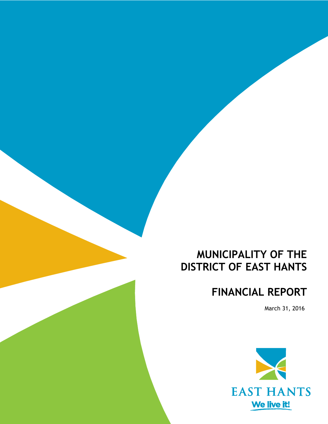# **MUNICIPALITY OF THE DISTRICT OF EAST HANTS**

# **FINANCIAL REPORT**

March 31, 2016

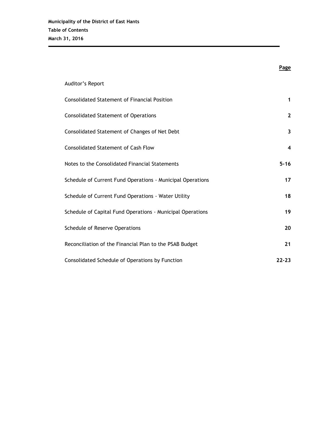|                                                            | <b>Page</b>  |
|------------------------------------------------------------|--------------|
| Auditor's Report                                           |              |
| <b>Consolidated Statement of Financial Position</b>        | 1            |
| <b>Consolidated Statement of Operations</b>                | $\mathbf{2}$ |
| Consolidated Statement of Changes of Net Debt              | 3            |
| <b>Consolidated Statement of Cash Flow</b>                 | 4            |
| Notes to the Consolidated Financial Statements             | $5 - 16$     |
| Schedule of Current Fund Operations - Municipal Operations | 17           |
| Schedule of Current Fund Operations - Water Utility        | 18           |
| Schedule of Capital Fund Operations - Municipal Operations | 19           |
| Schedule of Reserve Operations                             | 20           |
| Reconciliation of the Financial Plan to the PSAB Budget    | 21           |
| Consolidated Schedule of Operations by Function            | $22 - 23$    |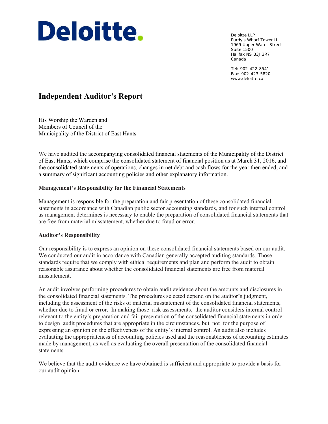# Deloitte.

Deloitte LLP Purdy's Wharf Tower II 1969 Upper Water Street Suite 1500 Halifax NS B3J 3R7 Canada

Tel: 902-422-8541 Fax: 902-423-5820 www.deloitte.ca

# **Independent Auditor's Report**

His Worship the Warden and Members of Council of the Municipality of the District of East Hants

We have audited the accompanying consolidated financial statements of the Municipality of the District of East Hants, which comprise the consolidated statement of financial position as at March 31, 2016, and the consolidated statements of operations, changes in net debt and cash flows for the year then ended, and a summary of significant accounting policies and other explanatory information.

# **Management's Responsibility for the Financial Statements**

Management is responsible for the preparation and fair presentation of these consolidated financial statements in accordance with Canadian public sector accounting standards, and for such internal control as management determines is necessary to enable the preparation of consolidated financial statements that are free from material misstatement, whether due to fraud or error.

# **Auditor's Responsibility**

Our responsibility is to express an opinion on these consolidated financial statements based on our audit. We conducted our audit in accordance with Canadian generally accepted auditing standards. Those standards require that we comply with ethical requirements and plan and perform the audit to obtain reasonable assurance about whether the consolidated financial statements are free from material misstatement.

An audit involves performing procedures to obtain audit evidence about the amounts and disclosures in the consolidated financial statements. The procedures selected depend on the auditor's judgment, including the assessment of the risks of material misstatement of the consolidated financial statements, whether due to fraud or error. In making those risk assessments, the auditor considers internal control relevant to the entity's preparation and fair presentation of the consolidated financial statements in order to design audit procedures that are appropriate in the circumstances, but not for the purpose of expressing an opinion on the effectiveness of the entity's internal control. An audit also includes evaluating the appropriateness of accounting policies used and the reasonableness of accounting estimates made by management, as well as evaluating the overall presentation of the consolidated financial statements.

We believe that the audit evidence we have obtained is sufficient and appropriate to provide a basis for our audit opinion.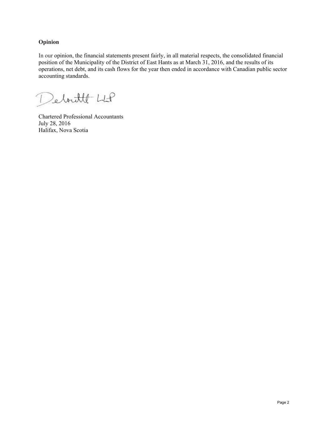# **Opinion**

In our opinion, the financial statements present fairly, in all material respects, the consolidated financial position of the Municipality of the District of East Hants as at March 31, 2016, and the results of its operations, net debt, and its cash flows for the year then ended in accordance with Canadian public sector accounting standards.

Debutt LLP

Chartered Professional Accountants July 28, 2016 Halifax, Nova Scotia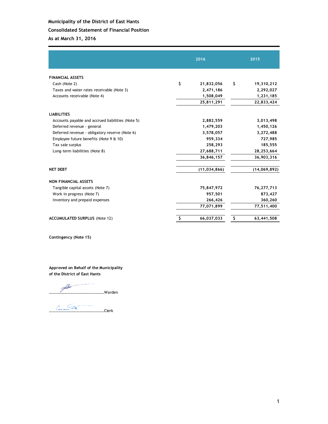# **Consolidated Statement of Financial Position**

**As at March 31, 2016**

|                                                   | 2016             | 2015 |              |  |
|---------------------------------------------------|------------------|------|--------------|--|
| <b>FINANCIAL ASSETS</b>                           |                  |      |              |  |
| Cash (Note 2)                                     | \$<br>21,832,056 | \$   | 19,310,212   |  |
| Taxes and water rates receivable (Note 3)         | 2,471,186        |      | 2,292,027    |  |
| Accounts receivable (Note 4)                      | 1,508,049        |      | 1,231,185    |  |
|                                                   | 25,811,291       |      | 22,833,424   |  |
| <b>LIABILITIES</b>                                |                  |      |              |  |
| Accounts payable and accrued liabilities (Note 5) | 2,882,559        |      | 3,013,498    |  |
| Deferred revenue - general                        | 1,479,203        |      | 1,450,126    |  |
| Deferred revenue - obligatory reserve (Note 6)    | 3,578,057        |      | 3,272,488    |  |
| Employee future benefits (Note 9 & 10)            | 959,334          |      | 727,985      |  |
| Tax sale surplus                                  | 258,293          |      | 185,555      |  |
| Long-term liabilities (Note 8)                    | 27,688,711       |      | 28,253,664   |  |
|                                                   | 36,846,157       |      | 36,903,316   |  |
| <b>NET DEBT</b>                                   | (11, 034, 866)   |      | (14,069,892) |  |
| <b>NON FINANCIAL ASSETS</b>                       |                  |      |              |  |
| Tangible capital assets (Note 7)                  | 75,847,972       |      | 76,277,713   |  |
| Work in progress (Note 7)                         | 957,501          |      | 873,427      |  |
| Inventory and prepaid expenses                    | 266,426          |      | 360,260      |  |
|                                                   | 77,071,899       |      | 77,511,400   |  |
| <b>ACCUMULATED SURPLUS (Note 12)</b>              | \$<br>66,037,033 | \$   | 63,441,508   |  |

**Contingency (Note 15)**

**Approved on Behalf of the Municipality of the District of East Hants**

………………………………………………Warden

………………………………………………Clerk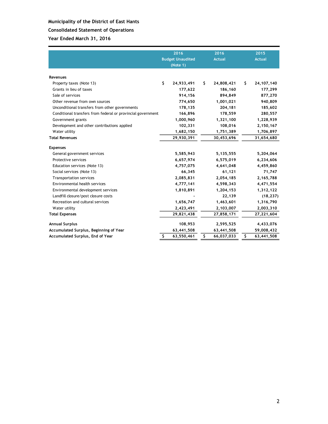# **Consolidated Statement of Operations**

|                                                             | 2016<br><b>Budget Unaudited</b><br>(Note 1) | 2016<br><b>Actual</b> |    | 2015<br><b>Actual</b> |
|-------------------------------------------------------------|---------------------------------------------|-----------------------|----|-----------------------|
| Revenues                                                    |                                             |                       |    |                       |
| Property taxes (Note 13)                                    | \$<br>24,933,491                            | \$<br>24,808,421      | S. | 24, 107, 140          |
| Grants in lieu of taxes                                     | 177,622                                     | 186,160               |    | 177,299               |
| Sale of services                                            | 914,156                                     | 894,849               |    | 877,270               |
| Other revenue from own sources                              | 774,650                                     | 1,001,021             |    | 940,809               |
| Unconditional transfers from other governments              | 178,135                                     | 204,181               |    | 185,602               |
| Conditional transfers from federal or provincial government | 166,896                                     | 178,559               |    | 280,557               |
| Government grants                                           | 1,000,960                                   | 1,321,100             |    | 1,228,939             |
| Development and other contributions applied                 | 102,331                                     | 108,016               |    | 2,150,167             |
| Water utility                                               | 1,682,150                                   | 1,751,389             |    | 1,706,897             |
| <b>Total Revenues</b>                                       | 29,930,391                                  | 30,453,696            |    | 31,654,680            |
| <b>Expenses</b>                                             |                                             |                       |    |                       |
| General government services                                 | 5,585,943                                   | 5,135,555             |    | 5,204,064             |
| Protective services                                         | 6,657,974                                   | 6,575,019             |    | 6,234,606             |
| Education services (Note 13)                                | 4,757,075                                   | 4,641,048             |    | 4,459,860             |
| Social services (Note 13)                                   | 66,345                                      | 61,121                |    | 71,747                |
| Transportation services                                     | 2,085,831                                   | 2,054,185             |    | 2,165,788             |
| Environmental health services                               | 4,777,141                                   | 4,598,343             |    | 4,471,554             |
| Environmental development services                          | 1,810,891                                   | 1,204,153             |    | 1,312,122             |
| Landfill closure/post closure costs                         |                                             | 22,139                |    | (18, 237)             |
| Recreation and cultural services                            | 1,656,747                                   | 1,463,601             |    | 1,316,790             |
| Water utility                                               | 2,423,491                                   | 2,103,007             |    | 2,003,310             |
| <b>Total Expenses</b>                                       | 29,821,438                                  | 27,858,171            |    | 27,221,604            |
| <b>Annual Surplus</b>                                       | 108,953                                     | 2,595,525             |    | 4,433,076             |
| Accumulated Surplus, Beginning of Year                      | 63,441,508                                  | 63,441,508            |    | 59,008,432            |
| Accumulated Surplus, End of Year                            | \$<br>63,550,461                            | \$<br>66,037,033      | \$ | 63,441,508            |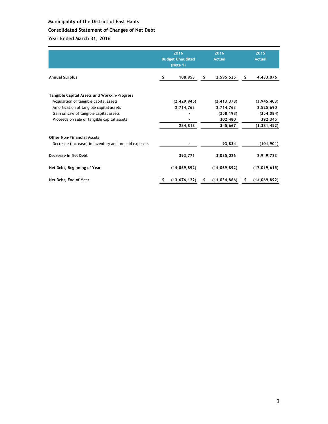# **Consolidated Statement of Changes of Net Debt**

|                                                                                                                                                                                                                             | 2016<br><b>Budget Unaudited</b><br>(Note 1) |                                       | 2016<br><b>Actual</b> |                                                                | 2015<br><b>Actual</b> |                                                                    |
|-----------------------------------------------------------------------------------------------------------------------------------------------------------------------------------------------------------------------------|---------------------------------------------|---------------------------------------|-----------------------|----------------------------------------------------------------|-----------------------|--------------------------------------------------------------------|
| <b>Annual Surplus</b>                                                                                                                                                                                                       |                                             | 108,953                               | \$.                   | 2,595,525                                                      | S.                    | 4,433,076                                                          |
| Tangible Capital Assets and Work-in-Progress<br>Acquisition of tangible capital assets<br>Amortization of tangible capital assets<br>Gain on sale of tangible capital assets<br>Proceeds on sale of tangible capital assets |                                             | (2, 429, 945)<br>2,714,763<br>284,818 |                       | (2, 413, 378)<br>2,714,763<br>(258, 198)<br>302,480<br>345,667 |                       | (3,945,403)<br>2,525,690<br>(354, 084)<br>392,345<br>(1, 381, 452) |
| <b>Other Non-Financial Assets</b><br>Decrease (Increase) in inventory and prepaid expenses                                                                                                                                  |                                             |                                       |                       | 93,834                                                         |                       | (101, 901)                                                         |
| Decrease in Net Debt                                                                                                                                                                                                        |                                             | 393,771                               |                       | 3,035,026                                                      |                       | 2,949,723                                                          |
| Net Debt, Beginning of Year                                                                                                                                                                                                 |                                             | (14,069,892)                          |                       | (14,069,892)                                                   |                       | (17, 019, 615)                                                     |
| Net Debt, End of Year                                                                                                                                                                                                       |                                             | (13, 676, 122)                        | \$                    | (11, 034, 866)                                                 | s                     | (14,069,892)                                                       |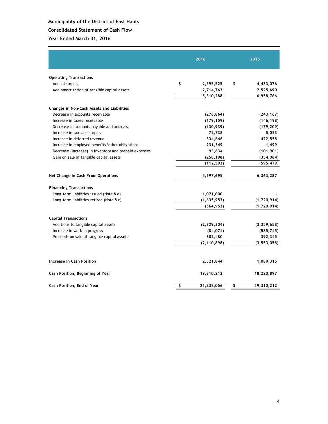# **Consolidated Statement of Cash Flow**

|                                                       | 2016             | 2015             |
|-------------------------------------------------------|------------------|------------------|
| <b>Operating Transactions</b>                         |                  |                  |
| Annual surplus                                        | \$<br>2,595,525  | \$<br>4,433,076  |
| Add amortization of tangible capital assets           | 2,714,763        | 2,525,690        |
|                                                       | 5,310,288        | 6,958,766        |
| Changes in Non-Cash Assets and Liabilities            |                  |                  |
| Decrease in accounts receivable                       | (276, 864)       | (243, 167)       |
| Increase in taxes receivable                          | (179, 159)       | (146, 198)       |
| Decrease in accounts payable and accruals             | (130, 939)       | (179, 209)       |
| Increase in tax sale surplus                          | 72,738           | 5,023            |
| Increase in deferred revenue                          | 334,646          | 422,558          |
| Increase in employee benefits/other obligations       | 231,349          | 1,499            |
| Decrease (increase) in inventory and prepaid expenses | 93,834           | (101, 901)       |
| Gain on sale of tangible capital assets               | (258, 198)       | (354, 084)       |
|                                                       | (112, 593)       | (595, 479)       |
| Net Change in Cash From Operations                    | 5,197,695        | 6,363,287        |
| <b>Financing Transactions</b>                         |                  |                  |
| Long-term liabilities issued (Note 8 e)               | 1,071,000        |                  |
| Long-term liabilities retired (Note 8 c)              | (1,635,953)      | (1,720,914)      |
|                                                       | (564, 953)       | (1,720,914)      |
| <b>Capital Transactions</b>                           |                  |                  |
| Additions to tangible capital assets                  | (2, 329, 304)    | (3,359,658)      |
| Increase in work in progress                          | (84, 074)        | (585, 745)       |
| Proceeds on sale of tangible capital assets           | 302,480          | 392,345          |
|                                                       | (2, 110, 898)    | (3, 553, 058)    |
| Increase in Cash Position                             | 2,521,844        | 1,089,315        |
| Cash Position, Beginning of Year                      | 19,310,212       | 18,220,897       |
| Cash Position, End of Year                            | \$<br>21,832,056 | \$<br>19,310,212 |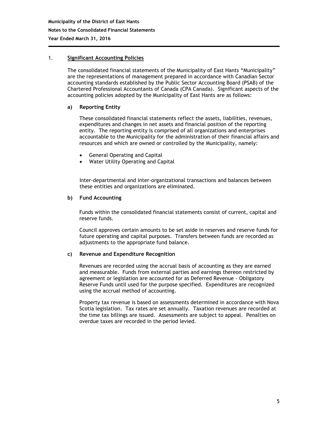# 1. **Significant Accounting Policies**

The consolidated financial statements of the Municipality of East Hants "Municipality" are the representations of management prepared in accordance with Canadian Sector accounting standards established by the Public Sector Accounting Board (PSAB) of the Chartered Professional Accountants of Canada (CPA Canada). Significant aspects of the accounting policies adopted by the Municipality of East Hants are as follows:

# **a) Reporting Entity**

These consolidated financial statements reflect the assets, liabilities, revenues, expenditures and changes in net assets and financial position of the reporting entity. The reporting entity is comprised of all organizations and enterprises accountable to the Municipality for the administration of their financial affairs and resources and which are owned or controlled by the Municipality, namely:

- General Operating and Capital
- Water Utility Operating and Capital

Inter-departmental and inter-organizational transactions and balances between these entities and organizations are eliminated.

# **b) Fund Accounting**

Funds within the consolidated financial statements consist of current, capital and reserve funds.

Council approves certain amounts to be set aside in reserves and reserve funds for future operating and capital purposes. Transfers between funds are recorded as adjustments to the appropriate fund balance.

#### **c) Revenue and Expenditure Recognition**

Revenues are recorded using the accrual basis of accounting as they are earned and measurable. Funds from external parties and earnings thereon restricted by agreement or legislation are accounted for as Deferred Revenue - Obligatory Reserve Funds until used for the purpose specified. Expenditures are recognized using the accrual method of accounting.

Property tax revenue is based on assessments determined in accordance with Nova Scotia legislation. Tax rates are set annually. Taxation revenues are recorded at the time tax billings are issued. Assessments are subject to appeal. Penalties on overdue taxes are recorded in the period levied.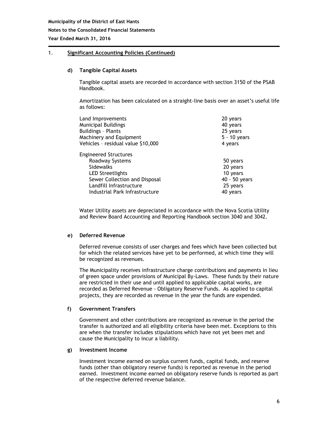# 1. **Significant Accounting Policies (Continued)**

#### **d) Tangible Capital Assets**

Tangible capital assets are recorded in accordance with section 3150 of the PSAB Handbook.

Amortization has been calculated on a straight-line basis over an asset's useful life as follows:

| Land Improvements                                                                                                                                                                            | 20 years                                                                  |
|----------------------------------------------------------------------------------------------------------------------------------------------------------------------------------------------|---------------------------------------------------------------------------|
| Municipal Buildings                                                                                                                                                                          | 40 years                                                                  |
| <b>Buildings - Plants</b>                                                                                                                                                                    | 25 years                                                                  |
| Machinery and Equipment                                                                                                                                                                      | 5 - 10 years                                                              |
| Vehicles - residual value \$10,000                                                                                                                                                           | 4 years                                                                   |
| <b>Engineered Structures</b><br>Roadway Systems<br><b>Sidewalks</b><br><b>LED Streetlights</b><br>Sewer Collection and Disposal<br>Landfill Infrastructure<br>Industrial Park Infrastructure | 50 years<br>20 years<br>10 years<br>40 - 50 years<br>25 years<br>40 years |

Water Utility assets are depreciated in accordance with the Nova Scotia Utility and Review Board Accounting and Reporting Handbook section 3040 and 3042.

#### **e) Deferred Revenue**

Deferred revenue consists of user charges and fees which have been collected but for which the related services have yet to be performed, at which time they will be recognized as revenues.

The Municipality receives infrastructure charge contributions and payments in lieu of green space under provisions of Municipal By-Laws. These funds by their nature are restricted in their use and until applied to applicable capital works, are recorded as Deferred Revenue - Obligatory Reserve Funds. As applied to capital projects, they are recorded as revenue in the year the funds are expended.

# **f) Government Transfers**

Government and other contributions are recognized as revenue in the period the transfer is authorized and all eligibility criteria have been met. Exceptions to this are when the transfer includes stipulations which have not yet been met and cause the Municipality to incur a liability.

# **g) Investment Income**

Investment income earned on surplus current funds, capital funds, and reserve funds (other than obligatory reserve funds) is reported as revenue in the period earned. Investment income earned on obligatory reserve funds is reported as part of the respective deferred revenue balance.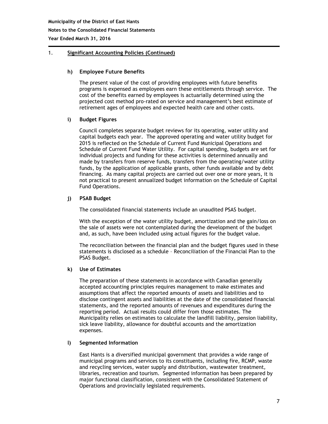# 1. **Significant Accounting Policies (Continued)**

# **h) Employee Future Benefits**

The present value of the cost of providing employees with future benefits programs is expensed as employees earn these entitlements through service. The cost of the benefits earned by employees is actuarially determined using the projected cost method pro-rated on service and management's best estimate of retirement ages of employees and expected health care and other costs.

# **i) Budget Figures**

Council completes separate budget reviews for its operating, water utility and capital budgets each year. The approved operating and water utility budget for 2015 is reflected on the Schedule of Current Fund Municipal Operations and Schedule of Current Fund Water Utility. For capital spending, budgets are set for individual projects and funding for these activities is determined annually and made by transfers from reserve funds, transfers from the operating/water utility funds, by the application of applicable grants, other funds available and by debt financing. As many capital projects are carried out over one or more years, it is not practical to present annualized budget information on the Schedule of Capital Fund Operations.

# **j) PSAB Budget**

The consolidated financial statements include an unaudited PSAS budget.

With the exception of the water utility budget, amortization and the gain/loss on the sale of assets were not contemplated during the development of the budget and, as such, have been included using actual figures for the budget value.

The reconciliation between the financial plan and the budget figures used in these statements is disclosed as a schedule – Reconciliation of the Financial Plan to the PSAS Budget.

#### **k) Use of Estimates**

The preparation of these statements in accordance with Canadian generally accepted accounting principles requires management to make estimates and assumptions that affect the reported amounts of assets and liabilities and to disclose contingent assets and liabilities at the date of the consolidated financial statements, and the reported amounts of revenues and expenditures during the reporting period. Actual results could differ from those estimates. The Municipality relies on estimates to calculate the landfill liability, pension liability, sick leave liability, allowance for doubtful accounts and the amortization expenses.

#### **l) Segmented Information**

East Hants is a diversified municipal government that provides a wide range of municipal programs and services to its constituents, including fire, RCMP, waste and recycling services, water supply and distribution, wastewater treatment, libraries, recreation and tourism. Segmented information has been prepared by major functional classification, consistent with the Consolidated Statement of Operations and provincially legislated requirements.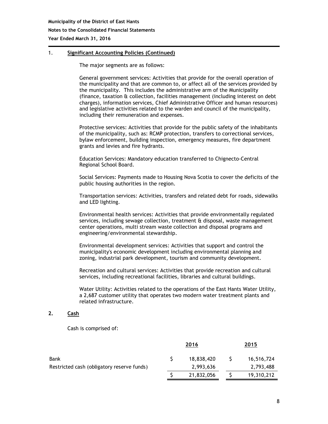# 1. **Significant Accounting Policies (Continued)**

The major segments are as follows:

General government services: Activities that provide for the overall operation of the municipality and that are common to, or affect all of the services provided by the municipality. This includes the administrative arm of the Municipality (finance, taxation & collection, facilities management (including interest on debt charges), information services, Chief Administrative Officer and human resources) and legislative activities related to the warden and council of the municipality, including their remuneration and expenses.

Protective services: Activities that provide for the public safety of the inhabitants of the municipality, such as: RCMP protection, transfers to correctional services, bylaw enforcement, building inspection, emergency measures, fire department grants and levies and fire hydrants.

Education Services: Mandatory education transferred to Chignecto-Central Regional School Board.

Social Services: Payments made to Housing Nova Scotia to cover the deficits of the public housing authorities in the region.

Transportation services: Activities, transfers and related debt for roads, sidewalks and LED lighting.

Environmental health services: Activities that provide environmentally regulated services, including sewage collection, treatment & disposal, waste management center operations, multi stream waste collection and disposal programs and engineering/environmental stewardship.

Environmental development services: Activities that support and control the municipality's economic development including environmental planning and zoning, industrial park development, tourism and community development.

Recreation and cultural services: Activities that provide recreation and cultural services, including recreational facilities, libraries and cultural buildings.

Water Utility: Activities related to the operations of the East Hants Water Utility, a 2,687 customer utility that operates two modern water treatment plants and related infrastructure.

# **2. Cash**

Cash is comprised of:

|                                            | 2016       | 2015 |            |  |
|--------------------------------------------|------------|------|------------|--|
| Bank                                       | 18,838,420 |      | 16,516,724 |  |
| Restricted cash (obligatory reserve funds) | 2,993,636  |      | 2,793,488  |  |
|                                            | 21,832,056 |      | 19,310,212 |  |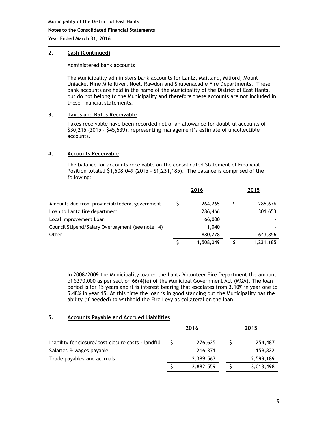#### **Notes to the Consolidated Financial Statements**

**Year Ended March 31, 2016**

# **2. Cash (Continued)**

Administered bank accounts

The Municipality administers bank accounts for Lantz, Maitland, Milford, Mount Uniacke, Nine Mile River, Noel, Rawdon and Shubenacadie Fire Departments. These bank accounts are held in the name of the Municipality of the District of East Hants, but do not belong to the Municipality and therefore these accounts are not included in these financial statements.

# **3. Taxes and Rates Receivable**

Taxes receivable have been recorded net of an allowance for doubtful accounts of \$30,215 (2015 - \$45,539), representing management's estimate of uncollectible accounts.

# **4. Accounts Receivable**

The balance for accounts receivable on the consolidated Statement of Financial Position totaled \$1,508,049 (2015 - \$1,231,185). The balance is comprised of the following:

|                                                  | 2016      | 2015      |
|--------------------------------------------------|-----------|-----------|
| Amounts due from provincial/federal government   | 264,265   | 285,676   |
| Loan to Lantz fire department                    | 286,466   | 301,653   |
| Local Improvement Loan                           | 66,000    |           |
| Council Stipend/Salary Overpayment (see note 14) | 11,040    |           |
| Other                                            | 880,278   | 643,856   |
|                                                  | 1,508,049 | 1,231,185 |

In 2008/2009 the Municipality loaned the Lantz Volunteer Fire Department the amount of \$370,000 as per section 66(4)(e) of the Municipal Government Act (MGA). The loan period is for 15 years and it is interest bearing that escalates from 3.10% in year one to 5.48% in year 15. At this time the loan is in good standing but the Municipality has the ability (if needed) to withhold the Fire Levy as collateral on the loan.

#### **5. Accounts Payable and Accrued Liabilities**

|                                                     | 2016      | 2015 |           |  |
|-----------------------------------------------------|-----------|------|-----------|--|
| Liability for closure/post closure costs - landfill | 276,625   |      | 254,487   |  |
| Salaries & wages payable                            | 216,371   |      | 159,822   |  |
| Trade payables and accruals                         | 2,389,563 |      | 2,599,189 |  |
|                                                     | 2,882,559 |      | 3,013,498 |  |
|                                                     |           |      |           |  |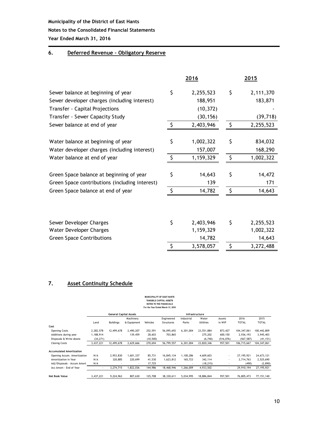# **Notes to the Consolidated Financial Statements**

**Year Ended March 31, 2016**

# **6. Deferred Revenue – Obligatory Reserve**

|                                                | 2016            | 2015 |           |  |
|------------------------------------------------|-----------------|------|-----------|--|
| Sewer balance at beginning of year             | \$<br>2,255,523 | \$   | 2,111,370 |  |
| Sewer developer charges (including interest)   | 188,951         |      | 183,871   |  |
| Transfer - Capital Projections                 | (10, 372)       |      |           |  |
| Transfer - Sewer Capacity Study                | (30, 156)       |      | (39, 718) |  |
| Sewer balance at end of year                   | \$<br>2,403,946 | Ŝ.   | 2,255,523 |  |
|                                                |                 |      |           |  |
| Water balance at beginning of year             | \$<br>1,002,322 | \$   | 834,032   |  |
| Water developer charges (including interest)   | 157,007         |      | 168,290   |  |
| Water balance at end of year                   | \$<br>1,159,329 | -Ŝ   | 1,002,322 |  |
| Green Space balance at beginning of year       | \$<br>14,643    | \$   | 14,472    |  |
| Green Space contributions (including interest) | 139             |      | 171       |  |
| Green Space balance at end of year             | \$<br>14,782    | -Ŝ   | 14,643    |  |
|                                                |                 |      |           |  |
| Sewer Developer Charges                        | \$<br>2,403,946 | \$   | 2,255,523 |  |
| Water Developer Charges                        | 1,159,329       |      | 1,002,322 |  |
| <b>Green Space Contributions</b>               | 14,782          |      | 14,643    |  |
|                                                | \$<br>3,578,057 | \$   | 3,272,488 |  |

# **7. Asset Continuity Schedule**

|                                                 |           |                  |             |           | <b>MUNICIPALITY OF EAST HANTS</b><br>TANGIBLE CAPITAL ASSETS<br><b>NOTES TO THE FINANCIALS</b><br>For the Year Ended March 31, 2016 |            |                  |                |               |               |
|-------------------------------------------------|-----------|------------------|-------------|-----------|-------------------------------------------------------------------------------------------------------------------------------------|------------|------------------|----------------|---------------|---------------|
| <b>General Capital Assets</b><br>Infrastructure |           |                  |             |           |                                                                                                                                     |            |                  |                |               |               |
|                                                 |           |                  | Machinery   |           | Engineered                                                                                                                          | Industrial | Water            | Assets         | 2016          | 2015          |
|                                                 | Land      | <b>Buildings</b> | & Equipment | Vehicles  | Structures                                                                                                                          | Parks      | <b>Utilities</b> | in WIP         | <b>TOTAL</b>  | <b>TOTAL</b>  |
| Cost                                            |           |                  |             |           |                                                                                                                                     |            |                  |                |               |               |
| <b>Opening Costs</b>                            | 2,282,578 | 12,499,678       | 2.490.207   | 252,591   | 56,095,692                                                                                                                          | 6,301,004  | 23.551.884       | 873,427        | 104, 347, 061 | 100,442,809   |
| Additions during year                           | 1,188,914 | ٠                | 139,459     | 28,603    | 703,865                                                                                                                             | ٠          | 275,202          | 600,150        | 2,936,193     | 3,945,403     |
| Disposals & Write downs                         | (34, 271) |                  |             | (10, 500) |                                                                                                                                     | ٠          | (6,740)          | (516, 076)     | (567, 587)    | (41, 151)     |
| <b>Closing Costs</b>                            | 3,437,221 | 12,499,678       | 2,629,666   | 270,694   | 56,799,557                                                                                                                          | 6,301,004  | 23,820,346       | 957,501        | 106,715,667   | 104, 347, 061 |
| <b>Accumulated Amortization</b>                 |           |                  |             |           |                                                                                                                                     |            |                  |                |               |               |
| Opening Accum. Amortization                     | N/A       | 2,953,830        | 1,601,337   | 85,731    | 16,845,134                                                                                                                          | 1,100,286  | 4,609,603        | ٠              | 27, 195, 921  | 24,673,121    |
| Amortization in Year                            | N/A       | 320,885          | 220,699     | 41,530    | 1,623,812                                                                                                                           | 165,723    | 342,114          | $\overline{a}$ | 2,714,763     | 2,525,690     |
| Adj/Disposals - Accum Amort                     | N/A       |                  |             | 17,725    |                                                                                                                                     |            | (18, 215)        |                | (490)         | (2,890)       |
| Acc Amort - End of Year                         | ٠         | 3,274,715        | 1,822,036   | 144,986   | 18,468,946                                                                                                                          | 1,266,009  | 4,933,502        |                | 29,910,194    | 27,195,921    |
| <b>Net Book Value</b>                           | 3,437,221 | 9,224,963        | 807.630     | 125,708   | 38.330.611                                                                                                                          | 5.034.995  | 18.886.844       | 957.501        | 76,805,473    | 77,151,140    |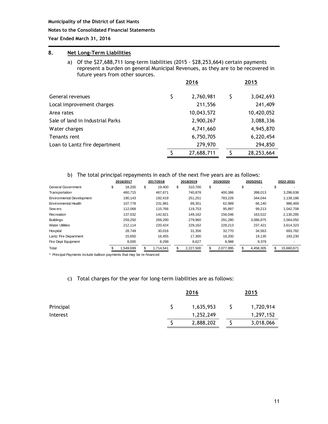#### **Notes to the Consolidated Financial Statements**

**Year Ended March 31, 2016**

# **8. Net Long-Term Liabilities**

a) Of the \$27,688,711 long-term liabilities (2015 - \$28,253,664) certain payments represent a burden on general Municipal Revenues, as they are to be recovered in future years from other sources.

|                                  | 2016             | 2015 |            |  |
|----------------------------------|------------------|------|------------|--|
| General revenues                 | \$<br>2,760,981  | S    | 3,042,693  |  |
| Local improvement charges        | 211,556          |      | 241,409    |  |
| Area rates                       | 10,043,572       |      | 10,420,052 |  |
| Sale of land in Industrial Parks | 2,900,267        |      | 3,088,336  |  |
| Water charges                    | 4,741,660        |      | 4,945,870  |  |
| Tenants rent                     | 6,750,705        |      | 6,220,454  |  |
| Loan to Lantz fire department    | 279,970          |      | 294,850    |  |
|                                  | \$<br>27,688,711 |      | 28,253,664 |  |

#### b) The total principal repayments in each of the next five years are as follows:

|                                  | 2016/2017    | 2017/2018    |     | 2018/2019 | 2019/2020 | 2020/2021 | 2022-2031  |
|----------------------------------|--------------|--------------|-----|-----------|-----------|-----------|------------|
| <b>General Government</b>        | \$<br>18,200 | \$<br>19,400 | \$  | 310,700   | \$        | \$        | \$         |
| Transportation                   | 460,715      | 467,671      |     | 740,878   | 400,386   | 398,013   | 3,296,638  |
| <b>Environmental Development</b> | 190.143      | 192.419      |     | 251.251   | 783,226   | 344.044   | 1,139,186  |
| Environmental Health             | 107.778      | 231.981      |     | 89.351    | 62,989    | 66,140    | 986.469    |
| Sew ers                          | 112.068      | 115.766      |     | 119.753   | 95,897    | 99.213    | 1,042,708  |
| Recreation                       | 137.032      | 142.821      |     | 149.162   | 156.046   | 163.522   | 2,130,285  |
| <b>Buildings</b>                 | 259.250      | 269.290      |     | 279.960   | 291.280   | 3,086,875 | 2,564,050  |
| <b>Water Utilities</b>           | 212.114      | 220.424      |     | 229.162   | 228.213   | 237.421   | 3,614,323  |
| Hospital                         | 28.749       | 30.016       |     | 31,356    | 32,770    | 34,563    | 693,782    |
| Lantz Fire Department            | 15.650       | 16.455       |     | 17.300    | 18,200    | 19,135    | 193,230    |
| Fire Dept Equipment              | 8,000        | 8,298        |     | 8,627     | 8,988     | 9,379     |            |
| Total                            | 1,549,699    | 1,714,541    | \$. | 2,227,500 | 2,077,995 | 4,458,305 | 15,660,671 |

\* Principal Payments include balloon payments that may be re-financed

#### c) Total charges for the year for long-term liabilities are as follows:

| Principal |  | 2015      |  |           |
|-----------|--|-----------|--|-----------|
|           |  | 1,635,953 |  | 1,720,914 |
| Interest  |  | 1,252,249 |  | 1,297,152 |
|           |  | 2,888,202 |  | 3,018,066 |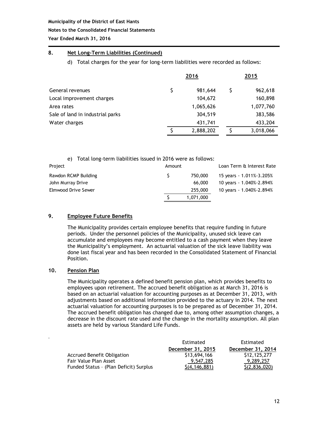#### **Notes to the Consolidated Financial Statements**

**Year Ended March 31, 2016**

# **8. Net Long-Term Liabilities (Continued)**

# d) Total charges for the year for long-term liabilities were recorded as follows:

|                                  |   | 2016      | 2015 |           |
|----------------------------------|---|-----------|------|-----------|
| General revenues                 | S | 981,644   |      | 962,618   |
| Local improvement charges        |   | 104,672   |      | 160,898   |
| Area rates                       |   | 1,065,626 |      | 1,077,760 |
| Sale of land in industrial parks |   | 304,519   |      | 383,586   |
| Water charges                    |   | 431,741   |      | 433,204   |
|                                  |   | 2,888,202 |      | 3,018,066 |

| e)                   | Total long-term liabilities issued in 2016 were as follows: |        |           |                           |
|----------------------|-------------------------------------------------------------|--------|-----------|---------------------------|
| Project              |                                                             | Amount |           | Loan Term & Interest Rate |
| Rawdon RCMP Building |                                                             |        | 750,000   | 15 years - 1.011%-3.205%  |
| John Murray Drive    |                                                             |        | 66,000    | 10 years - 1.040%-2.894%  |
| Elmwood Drive Sewer  |                                                             |        | 255,000   | 10 years - 1.040%-2.894%  |
|                      |                                                             |        | 1,071,000 |                           |

# **9. Employee Future Benefits**

The Municipality provides certain employee benefits that require funding in future periods. Under the personnel policies of the Municipality, unused sick leave can accumulate and employees may become entitled to a cash payment when they leave the Municipality's employment. An actuarial valuation of the sick leave liability was done last fiscal year and has been recorded in the Consolidated Statement of Financial Position.

# **10. Pension Plan**

.

The Municipality operates a defined benefit pension plan, which provides benefits to employees upon retirement. The accrued benefit obligation as at March 31, 2016 is based on an actuarial valuation for accounting purposes as at December 31, 2013, with adjustments based on additional information provided to the actuary in 2014. The next actuarial valuation for accounting purposes is to be prepared as of December 31, 2014. The accrued benefit obligation has changed due to, among other assumption changes, a decrease in the discount rate used and the change in the mortality assumption. All plan assets are held by various Standard Life Funds.

|                                        | Estimated         | Estimated         |
|----------------------------------------|-------------------|-------------------|
|                                        | December 31, 2015 | December 31, 2014 |
| Accrued Benefit Obligation             | \$13,694,166      | \$12,125,277      |
| Fair Value Plan Asset                  | 9,547,285         | 9,289,257         |
| Funded Status - (Plan Deficit) Surplus | S(4, 146, 881)    | \$(2,836,020)     |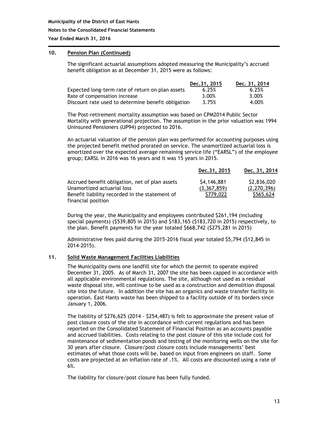#### **Notes to the Consolidated Financial Statements**

**Year Ended March 31, 2016**

# **10. Pension Plan (Continued)**

The significant actuarial assumptions adopted measuring the Municipality's accrued benefit obligation as at December 31, 2015 were as follows:

|                                                    | Dec.31, 2015 | Dec. 31, 2014 |
|----------------------------------------------------|--------------|---------------|
| Expected long-term rate of return on plan assets   | 6.25%        | 6.25%         |
| Rate of compensation increase                      | 3.00%        | 3.00%         |
| Discount rate used to determine benefit obligation | 3.75%        | 4.00%         |

The Post-retirement mortality assumption was based on CPM2014 Public Sector Mortality with generational projection. The assumption in the prior valuation was 1994 Uninsured Pensioners (UP94) projected to 2016.

An actuarial valuation of the pension plan was performed for accounting purposes using the projected benefit method prorated on service. The unamortized actuarial loss is amortized over the expected average remaining service life ("EARSL") of the employee group; EARSL in 2016 was 16 years and it was 15 years in 2015.

|                                                                              | Dec. 31, 2015              | Dec. 31, 2014              |
|------------------------------------------------------------------------------|----------------------------|----------------------------|
| Accrued benefit obligation, net of plan assets<br>Unamortized actuarial loss | \$4,146,881<br>(3,367,859) | \$2,836,020<br>(2.270.396) |
| Benefit liability recorded in the statement of<br>financial position         | \$779,022                  | \$565,624                  |

During the year, the Municipality and employees contributed \$261,194 (including special payments) (\$539,805 in 2015) and \$183,165 (\$183,720 in 2015) respectively, to the plan. Benefit payments for the year totaled \$668,742 (\$275,281 in 2015)

Administrative fees paid during the 2015-2016 fiscal year totaled \$5,794 (\$12,845 in 2014-2015).

#### **11. Solid Waste Management Facilities Liabilities**

The Municipality owns one landfill site for which the permit to operate expired December 31, 2005. As of March 31, 2007 the site has been capped in accordance with all applicable environmental regulations. The site, although not used as a residual waste disposal site, will continue to be used as a construction and demolition disposal site into the future. In addition the site has an organics and waste transfer facility in operation. East Hants waste has been shipped to a facility outside of its borders since January 1, 2006.

The liability of \$276,625 (2014 - \$254,487) is felt to approximate the present value of post closure costs of the site in accordance with current regulations and has been reported on the Consolidated Statement of Financial Position as an accounts payable and accrued liabilities. Costs relating to the post closure of this site include cost for maintenance of sedimentation ponds and testing of the monitoring wells on the site for 30 years after closure. Closure/post closure costs include managements' best estimates of what those costs will be, based on input from engineers on staff. Some costs are projected at an inflation rate of .1%. All costs are discounted using a rate of 6%.

The liability for closure/post closure has been fully funded.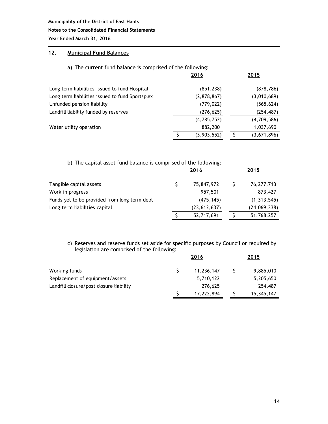#### **Notes to the Consolidated Financial Statements**

**Year Ended March 31, 2016**

# **12. Municipal Fund Balances**

# a) The current fund balance is comprised of the following:

|                                                 | 2016        | 2015        |
|-------------------------------------------------|-------------|-------------|
| Long term liabilities issued to fund Hospital   | (851, 238)  | (878, 786)  |
| Long term liabilities issued to fund Sportsplex | (2,878,867) | (3,010,689) |
| Unfunded pension liability                      | (779, 022)  | (565, 624)  |
| Landfill liability funded by reserves           | (276, 625)  | (254, 487)  |
|                                                 | (4,785,752) | (4,709,586) |
| Water utility operation                         | 882,200     | 1,037,690   |
|                                                 | (3,903,552) | (3,671,896) |

| b) The capital asset fund balance is comprised of the following: |      |                |  |               |  |  |
|------------------------------------------------------------------|------|----------------|--|---------------|--|--|
|                                                                  | 2016 |                |  | 2015          |  |  |
| Tangible capital assets                                          |      | 75,847,972     |  | 76,277,713    |  |  |
| Work in progress                                                 |      | 957,501        |  | 873,427       |  |  |
| Funds yet to be provided from long term debt                     |      | (475, 145)     |  | (1, 313, 545) |  |  |
| Long term liabilities capital                                    |      | (23, 612, 637) |  | (24,069,338)  |  |  |
|                                                                  |      | 52,717,691     |  | 51,768,257    |  |  |

# c) Reserves and reserve funds set aside for specific purposes by Council or required by legislation are comprised of the following:

|                                         | 2016       | 2015       |
|-----------------------------------------|------------|------------|
| Working funds                           | 11,236,147 | 9,885,010  |
| Replacement of equipment/assets         | 5,710,122  | 5,205,650  |
| Landfill closure/post closure liability | 276,625    | 254,487    |
|                                         | 17,222,894 | 15,345,147 |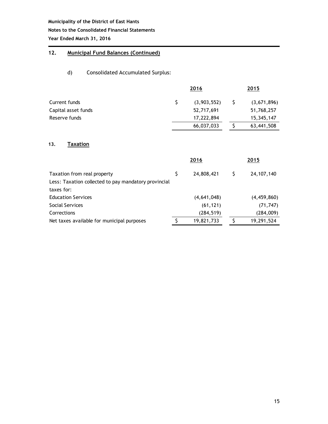# **Notes to the Consolidated Financial Statements**

**Year Ended March 31, 2016**

# **12. Municipal Fund Balances (Continued)**

# d) Consolidated Accumulated Surplus:

|                     | 2016        | 2015        |
|---------------------|-------------|-------------|
| Current funds       | (3,903,552) | (3,671,896) |
| Capital asset funds | 52,717,691  | 51,768,257  |
| Reserve funds       | 17,222,894  | 15,345,147  |
|                     | 66,037,033  | 63,441,508  |
|                     |             |             |

# **13. Taxation**

|                                                      | 2016 |             | 2015 |               |  |
|------------------------------------------------------|------|-------------|------|---------------|--|
| Taxation from real property                          |      | 24,808,421  | S    | 24, 107, 140  |  |
| Less: Taxation collected to pay mandatory provincial |      |             |      |               |  |
| taxes for:                                           |      |             |      |               |  |
| <b>Education Services</b>                            |      | (4,641,048) |      | (4, 459, 860) |  |
| Social Services                                      |      | (61, 121)   |      | (71, 747)     |  |
| Corrections                                          |      | (284, 519)  |      | (284,009)     |  |
| Net taxes available for municipal purposes           |      | 19,821,733  |      | 19,291,524    |  |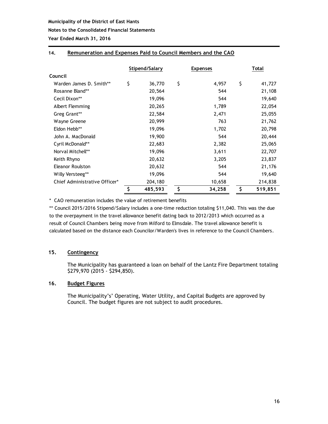#### **Notes to the Consolidated Financial Statements**

**Year Ended March 31, 2016**

# **14. Remuneration and Expenses Paid to Council Members and the CAO**

|                               | Stipend/Salary |         | <b>Expenses</b> | Total         |
|-------------------------------|----------------|---------|-----------------|---------------|
| Council                       |                |         |                 |               |
| Warden James D. Smith**       | \$<br>36,770   | \$      | 4,957           | \$<br>41,727  |
| Rosanne Bland**               | 20,564         |         | 544             | 21,108        |
| Cecil Dixon**                 | 19,096         |         | 544             | 19,640        |
| Albert Flemming               | 20,265         |         | 1,789           | 22,054        |
| Greg Grant**                  | 22,584         |         | 2,471           | 25,055        |
| Wayne Greene                  | 20,999         |         | 763             | 21,762        |
| Eldon Hebb**                  | 19,096         |         | 1,702           | 20,798        |
| John A. MacDonald             | 19,900         |         | 544             | 20,444        |
| Cyril McDonald**              | 22,683         |         | 2,382           | 25,065        |
| Norval Mitchell**             | 19,096         |         | 3,611           | 22,707        |
| Keith Rhyno                   | 20,632         |         | 3,205           | 23,837        |
| Eleanor Roulston              | 20,632         |         | 544             | 21,176        |
| Willy Versteeg**              | 19,096         |         | 544             | 19,640        |
| Chief Administrative Officer* | 204,180        |         | 10,658          | 214,838       |
|                               | \$<br>485,593  | $\zeta$ | 34,258          | \$<br>519,851 |

\* CAO remuneration includes the value of retirement benefits

\*\* Council 2015/2016 Stipend/Salary includes a one-time reduction totaling \$11,040. This was the due to the overpayment in the travel allowance benefit dating back to 2012/2013 which occurred as a result of Council Chambers being move from Milford to Elmsdale. The travel allowance benefit is calculated based on the distance each Councilor/Warden's lives in reference to the Council Chambers.

# **15. Contingency**

The Municipality has guaranteed a loan on behalf of the Lantz Fire Department totaling \$279,970 (2015 - \$294,850).

#### **16. Budget Figures**

The Municipality's' Operating, Water Utility, and Capital Budgets are approved by Council. The budget figures are not subject to audit procedures.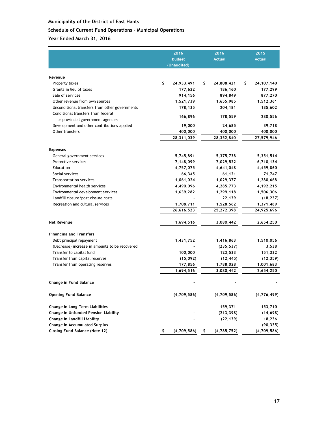# **Schedule of Current Fund Operations – Municipal Operations**

|                                                                         | 2016              | 2016              | 2015                |
|-------------------------------------------------------------------------|-------------------|-------------------|---------------------|
|                                                                         | <b>Budget</b>     | <b>Actual</b>     | <b>Actual</b>       |
|                                                                         | (Unaudited)       |                   |                     |
| Revenue                                                                 |                   |                   |                     |
| Property taxes                                                          | \$<br>24,933,491  | \$.<br>24,808,421 | \$.<br>24, 107, 140 |
| Grants in lieu of taxes                                                 | 177,622           | 186,160           | 177,299             |
| Sale of services                                                        | 914,156           | 894,849           | 877,270             |
| Other revenue from own sources                                          | 1,521,739         | 1,655,985         | 1,512,361           |
| Unconditional transfers from other governments                          | 178,135           | 204,181           | 185,602             |
| Conditional transfers from federal<br>or provincial government agencies | 166,896           | 178,559           | 280,556             |
| Development and other contributions applied                             | 19,000            | 24,685            | 39,718              |
| Other transfers                                                         | 400,000           | 400,000           | 400,000             |
|                                                                         | 28,311,039        | 28,352,840        | 27,579,946          |
| <b>Expenses</b>                                                         |                   |                   |                     |
| General government services                                             | 5,745,891         | 5,375,738         | 5,351,514           |
| Protective services                                                     | 7,148,099         | 7,029,522         | 6,710,134           |
| Education                                                               | 4,757,075         | 4,641,048         | 4,459,860           |
| Social services                                                         | 66,345            | 61,121            | 71,747              |
| <b>Transportation services</b>                                          | 1,061,024         | 1,029,377         | 1,280,668           |
| Environmental health services                                           | 4,490,096         | 4,285,773         | 4,192,215           |
| Environmental development services                                      | 1,639,282         | 1,299,118         | 1,506,306           |
| Landfill closure/post closure costs                                     |                   | 22,139            | (18, 237)           |
| Recreation and cultural services                                        | 1,708,711         | 1,528,562         | 1,371,489           |
|                                                                         | 26,616,523        | 25,272,398        | 24,925,696          |
| <b>Net Revenue</b>                                                      | 1,694,516         | 3,080,442         | 2,654,250           |
| <b>Financing and Transfers</b>                                          |                   |                   |                     |
| Debt principal repayment                                                | 1,431,752         | 1,416,863         | 1,510,056           |
| (Decrease) increase in amounts to be recovered                          |                   | (235, 537)        | 3,538               |
| Transfer to capital fund                                                | 100,000           | 123,533           | 151,332             |
| Transfer from capital reserves                                          | (15,092)          | (12, 445)         | (12, 359)           |
| Transfer from operating reserves                                        | 177,856           | 1,788,028         | 1,001,683           |
|                                                                         | 1,694,516         | 3,080,442         | 2,654,250           |
| Change in Fund Balance                                                  |                   |                   |                     |
| <b>Opening Fund Balance</b>                                             | (4,709,586)       | (4,709,586)       | (4, 776, 499)       |
| Change in Long-Term Liabilities                                         |                   | 159,371           | 153,710             |
| Change in Unfunded Pension Liability                                    |                   | (213, 398)        | (14, 698)           |
| Change in Landfill Liability                                            |                   | (22, 139)         | 18,236              |
| <b>Change in Accumulated Surplus</b>                                    |                   |                   | (90, 335)           |
| <b>Closing Fund Balance (Note 12)</b>                                   | Ş.<br>(4,709,586) | \$<br>(4,785,752) | (4,709,586)         |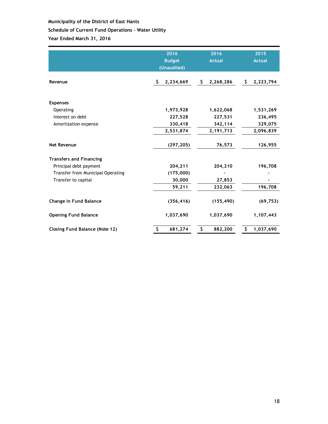# **Schedule of Current Fund Operations – Water Utility**

|                                       | 2016<br><b>Budget</b><br>(Unaudited) | 2016<br><b>Actual</b> | 2015<br><b>Actual</b> |
|---------------------------------------|--------------------------------------|-----------------------|-----------------------|
| Revenue                               | \$<br>2,234,669                      | 2,268,286<br>\$.      | \$.<br>2,223,794      |
| <b>Expenses</b>                       |                                      |                       |                       |
| Operating                             | 1,973,928                            | 1,622,068             | 1,531,269             |
| Interest on debt                      | 227,528                              | 227,531               | 236,495               |
| Amortization expense                  | 330,418                              | 342,114               | 329,075               |
|                                       | 2,531,874                            | 2,191,713             | 2,096,839             |
| <b>Net Revenue</b>                    | (297, 205)                           | 76,573                | 126,955               |
| <b>Transfers and Financing</b>        |                                      |                       |                       |
| Principal debt payment                | 204,211                              | 204,210               | 196,708               |
| Transfer from Municipal Operating     | (175,000)                            |                       |                       |
| Transfer to capital                   | 30,000                               | 27,853                |                       |
|                                       | 59,211                               | 232,063               | 196,708               |
| <b>Change in Fund Balance</b>         | (356, 416)                           | (155, 490)            | (69, 753)             |
| <b>Opening Fund Balance</b>           | 1,037,690                            | 1,037,690             | 1,107,443             |
| <b>Closing Fund Balance (Note 12)</b> | 681,274<br>\$                        | \$<br>882,200         | \$<br>1,037,690       |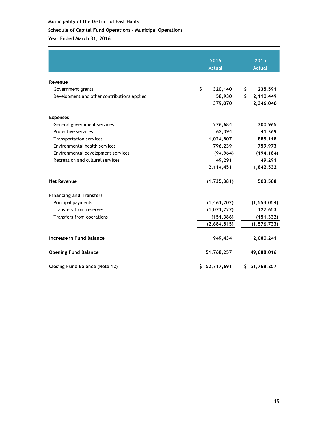# **Schedule of Capital Fund Operations – Municipal Operations**

|                                             | 2016          | 2015             |
|---------------------------------------------|---------------|------------------|
|                                             | <b>Actual</b> | <b>Actual</b>    |
| Revenue                                     |               |                  |
| Government grants                           | \$<br>320,140 | 235,591<br>\$    |
| Development and other contributions applied | 58,930        | \$.<br>2,110,449 |
|                                             | 379,070       | 2,346,040        |
| <b>Expenses</b>                             |               |                  |
| General government services                 | 276,684       | 300,965          |
| Protective services                         | 62,394        | 41,369           |
| <b>Transportation services</b>              | 1,024,807     | 885,118          |
| Environmental health services               | 796,239       | 759,973          |
| Environmental development services          | (94, 964)     | (194, 184)       |
| Recreation and cultural services            | 49,291        | 49,291           |
|                                             | 2,114,451     | 1,842,532        |
| <b>Net Revenue</b>                          | (1,735,381)   | 503,508          |
| <b>Financing and Transfers</b>              |               |                  |
| Principal payments                          | (1, 461, 702) | (1, 553, 054)    |
| Transfers from reserves                     | (1,071,727)   | 127,653          |
| Transfers from operations                   | (151, 386)    | (151, 332)       |
|                                             | (2,684,815)   | (1, 576, 733)    |
| Increase in Fund Balance                    | 949,434       | 2,080,241        |
| <b>Opening Fund Balance</b>                 | 51,768,257    | 49,688,016       |
| <b>Closing Fund Balance (Note 12)</b>       | \$52,717,691  | \$51,768,257     |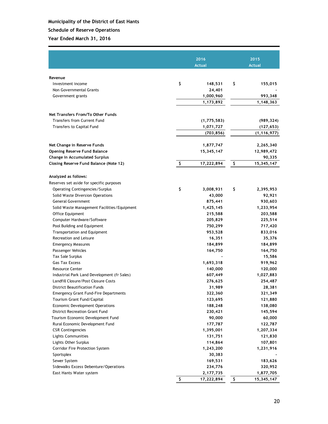# **Schedule of Reserve Operations**

|                                              | 2016                       | 2015             |
|----------------------------------------------|----------------------------|------------------|
|                                              | <b>Actual</b>              | <b>Actual</b>    |
|                                              |                            |                  |
| Revenue                                      |                            |                  |
| Investment income                            | \$<br>148,531              | \$<br>155,015    |
| Non Governmental Grants                      | 24,401                     |                  |
| Government grants                            | 1,000,960                  | 993,348          |
|                                              | 1,173,892                  | 1,148,363        |
| Net Transfers From/To Other Funds            |                            |                  |
| <b>Transfers from Current Fund</b>           |                            |                  |
| Transfers to Capital Fund                    | (1, 775, 583)<br>1,071,727 | (989, 324)       |
|                                              | (703, 856)                 | (127, 653)       |
|                                              |                            | (1, 116, 977)    |
| Net Change in Reserve Funds                  | 1,877,747                  | 2,265,340        |
| <b>Opening Reserve Fund Balance</b>          | 15,345,147                 | 12,989,472       |
| <b>Change in Accumulated Surplus</b>         |                            | 90,335           |
| Closing Reserve Fund Balance (Note 12)       | \$<br>17,222,894           | \$<br>15,345,147 |
|                                              |                            |                  |
| Analyzed as follows:                         |                            |                  |
| Reserves set aside for specific purposes     |                            |                  |
| <b>Operating Contingencies/Surplus</b>       | \$<br>3,008,931            | \$<br>2,395,953  |
| Solid Waste Diversion Operations             | 43,000                     | 92,921           |
| <b>General Government</b>                    | 875,441                    | 930,603          |
| Solid Waste Management Facilities/Equipment  | 1,425,145                  | 1,233,954        |
| Office Equipment                             | 215,588                    | 203,588          |
| Computer Hardware/Software                   | 205,829                    | 225,514          |
| Pool Building and Equipment                  | 750,299                    | 717,420          |
| Transportation and Equipment                 | 953,528                    | 833,016          |
| Recreation and Leisure                       | 16,351                     | 35,376           |
| <b>Emergency Measures</b>                    | 184,899                    | 184,899          |
| Passenger Vehicles                           | 164,750                    | 164,750          |
| <b>Tax Sale Surplus</b>                      |                            | 15,586           |
| <b>Gas Tax Excess</b>                        | 1,693,318                  | 919,962          |
| <b>Resource Center</b>                       | 140,000                    | 120,000          |
| Industrial Park Land Development (fr Sales)  | 607,449                    | 1,027,883        |
| Landfill Closure/Post Closure Costs          | 276,625                    | 254,487          |
| District Beautification Funds                | 31,989                     | 28,381           |
| <b>Emergency Grant Fund-Fire Departments</b> | 322,360                    | 321,349          |
| Tourism Grant Fund/Capital                   | 123,695                    | 121,880          |
| Economic Development Operations              | 188,248                    | 138,080          |
| <b>District Recreation Grant Fund</b>        | 230,421                    | 145,594          |
| Tourism Economic Development Fund            | 90,000                     | 60,000           |
| Rural Economic Development Fund              | 177,787                    | 122,787          |
| <b>CSR Contingencies</b>                     | 1,395,001                  | 1,207,334        |
| <b>Lights Communities</b>                    | 131,751                    | 121,830          |
| Lights Other Surplus                         | 114,864                    | 107,801          |
| Corridor Fire Protection System              | 1,243,200                  | 1,231,916        |
| Sportsplex                                   | 30,383                     |                  |
| Sewer System                                 | 169,531                    | 183,626          |
| Sidewalks Excess Debenture/Operations        | 234,776                    | 320,952          |
| East Hants Water system                      | 2,177,735                  | 1,877,705        |
|                                              | \$<br>17,222,894           | \$<br>15,345,147 |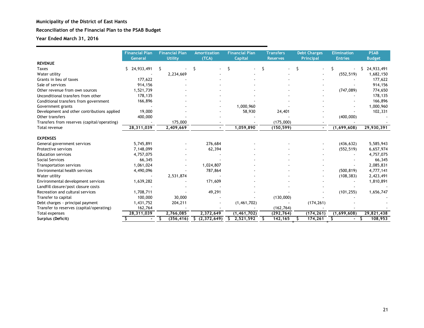# **Reconciliation of the Financial Plan to the PSAB Budget**

|                                             | <b>Financial Plan</b><br>General | <b>Financial Plan</b><br><b>Utility</b> | <b>Amortization</b><br>(TCA) | <b>Financial Plan</b><br><b>Capital</b> | <b>Transfers</b><br><b>Reserves</b> | <b>Debt Charges</b><br><b>Principal</b> | <b>Elimination</b><br><b>Entries</b> | <b>PSAB</b><br><b>Budget</b> |
|---------------------------------------------|----------------------------------|-----------------------------------------|------------------------------|-----------------------------------------|-------------------------------------|-----------------------------------------|--------------------------------------|------------------------------|
| <b>REVENUE</b>                              |                                  |                                         |                              |                                         |                                     |                                         |                                      |                              |
| <b>Taxes</b>                                | \$24,933,491                     | S.                                      | S                            | \$                                      | S                                   | \$                                      |                                      | 24,933,491<br>S.             |
| Water utility                               |                                  | 2,234,669                               |                              |                                         |                                     |                                         | (552, 519)                           | 1,682,150                    |
| Grants in lieu of taxes                     | 177,622                          |                                         |                              |                                         |                                     |                                         |                                      | 177,622                      |
| Sale of services                            | 914,156                          |                                         |                              |                                         |                                     |                                         |                                      | 914,156                      |
| Other revenue from own sources              | 1,521,739                        |                                         |                              |                                         |                                     |                                         | (747, 089)                           | 774,650                      |
| Unconditional transfers from other          | 178,135                          |                                         |                              |                                         |                                     |                                         |                                      | 178,135                      |
| Conditional transfers from government       | 166,896                          |                                         |                              |                                         |                                     |                                         |                                      | 166,896                      |
| Government grants                           |                                  |                                         |                              | 1,000,960                               |                                     |                                         |                                      | 1,000,960                    |
| Development and other contributions applied | 19,000                           |                                         |                              | 58,930                                  | 24,401                              |                                         |                                      | 102,331                      |
| Other transfers                             | 400,000                          |                                         |                              |                                         |                                     |                                         | (400,000)                            |                              |
| Transfers from reserves (capital/operating) |                                  | 175,000                                 |                              |                                         | (175,000)                           |                                         |                                      |                              |
| Total revenue                               | 28,311,039                       | 2,409,669                               |                              | 1,059,890                               | (150, 599)                          | $\blacksquare$                          | (1,699,608)                          | 29,930,391                   |
| <b>EXPENSES</b>                             |                                  |                                         |                              |                                         |                                     |                                         |                                      |                              |
| General government services                 | 5,745,891                        |                                         | 276,684                      |                                         |                                     |                                         | (436, 632)                           | 5,585,943                    |
| Protective services                         | 7,148,099                        |                                         | 62,394                       |                                         |                                     |                                         | (552, 519)                           | 6,657,974                    |
| <b>Education services</b>                   | 4,757,075                        |                                         |                              |                                         |                                     |                                         |                                      | 4,757,075                    |
| <b>Social Services</b>                      | 66,345                           |                                         |                              |                                         |                                     |                                         |                                      | 66,345                       |
| <b>Transportation services</b>              | 1,061,024                        |                                         | 1,024,807                    |                                         |                                     |                                         |                                      | 2,085,831                    |
| Environmental health services               | 4,490,096                        |                                         | 787,864                      |                                         |                                     |                                         | (500, 819)                           | 4,777,141                    |
| Water utility                               |                                  | 2,531,874                               |                              |                                         |                                     |                                         | (108, 383)                           | 2,423,491                    |
| Environmental development services          | 1,639,282                        |                                         | 171,609                      |                                         |                                     |                                         |                                      | 1,810,891                    |
| Landfill closure/post closure costs         |                                  |                                         |                              |                                         |                                     |                                         |                                      |                              |
| Recreation and cultural services            | 1,708,711                        |                                         | 49,291                       |                                         |                                     |                                         | (101, 255)                           | 1,656,747                    |
| Transfer to capital                         | 100,000                          | 30,000                                  |                              |                                         | (130,000)                           |                                         |                                      |                              |
| Debt charges - principal payment            | 1,431,752                        | 204,211                                 |                              | (1,461,702)                             |                                     | (174, 261)                              |                                      |                              |
| Transfer to reserves (capital/operating)    | 162,764                          |                                         |                              |                                         | (162, 764)                          |                                         |                                      |                              |
| Total expenses                              | 28,311,039                       | 2,766,085                               | 2,372,649                    | (1, 461, 702)                           | (292, 764)                          | (174, 261)                              | (1,699,608)                          | 29,821,438                   |
| Surplus (Deficit)                           |                                  | \$<br>(356, 416)                        | \$(2,372,649)                | 2,521,592                               | 142,165<br>S                        | 174,261<br>s                            | \$                                   | 108,953<br>S                 |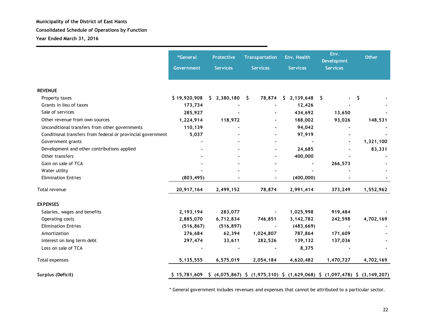**Year Ended March 31, 2016**

|                                                             | *General<br>Government | <b>Protective</b><br><b>Transportation</b><br><b>Services</b><br><b>Services</b> |                                                                                                                                   | Env. Health<br><b>Services</b> | Env.<br><b>Developmnt</b><br><b>Services</b> | <b>Other</b> |  |
|-------------------------------------------------------------|------------------------|----------------------------------------------------------------------------------|-----------------------------------------------------------------------------------------------------------------------------------|--------------------------------|----------------------------------------------|--------------|--|
| <b>REVENUE</b>                                              |                        |                                                                                  |                                                                                                                                   |                                |                                              |              |  |
| Property taxes                                              | \$19,920,908           | $$2,380,180$ \$                                                                  |                                                                                                                                   | 78,874 \$ 2,139,648 \$         |                                              | \$           |  |
| Grants in lieu of taxes                                     | 173,734                |                                                                                  |                                                                                                                                   | 12,426                         |                                              |              |  |
| Sale of services                                            | 285,927                |                                                                                  |                                                                                                                                   | 434,692                        | 13,650                                       |              |  |
| Other revenue from own sources                              | 1,224,914              | 118,972                                                                          |                                                                                                                                   | 188,002                        | 93,026                                       | 148,531      |  |
| Unconditional transfers from other governments              | 110,139                |                                                                                  |                                                                                                                                   | 94,042                         |                                              |              |  |
| Conditional transfers from federal or provincial government | 5,037                  |                                                                                  |                                                                                                                                   | 97,919                         |                                              |              |  |
| Government grants                                           |                        |                                                                                  |                                                                                                                                   |                                |                                              | 1,321,100    |  |
| Development and other contributions applied                 |                        |                                                                                  |                                                                                                                                   | 24,685                         |                                              | 83,331       |  |
| Other transfers                                             |                        |                                                                                  |                                                                                                                                   | 400,000                        |                                              |              |  |
| Gain on sale of TCA                                         |                        |                                                                                  |                                                                                                                                   |                                | 266,573                                      |              |  |
| Water utility                                               |                        |                                                                                  |                                                                                                                                   |                                |                                              |              |  |
| <b>Elimination Entries</b>                                  | (803, 495)             |                                                                                  |                                                                                                                                   | (400, 000)                     |                                              |              |  |
| Total revenue                                               | 20,917,164             | 2,499,152                                                                        | 78,874                                                                                                                            | 2,991,414                      | 373,249                                      | 1,552,962    |  |
| <b>EXPENSES</b>                                             |                        |                                                                                  |                                                                                                                                   |                                |                                              |              |  |
| Salaries, wages and benefits                                | 2,193,194              | 283,077                                                                          | ۰                                                                                                                                 | 1,025,998                      | 919,484                                      |              |  |
| Operating costs                                             | 2,885,070              | 6,712,834                                                                        | 746,851                                                                                                                           | 3,142,782                      | 242,598                                      | 4,702,169    |  |
| <b>Elimination Entries</b>                                  | (516, 867)             | (516, 897)                                                                       |                                                                                                                                   | (483, 669)                     |                                              |              |  |
| Amortization                                                | 276,684                | 62,394                                                                           | 1,024,807                                                                                                                         | 787,864                        | 171,609                                      |              |  |
| Interest on long term debt                                  | 297,474                | 33,611                                                                           | 282,526                                                                                                                           | 139,132                        | 137,036                                      |              |  |
| Loss on sale of TCA                                         |                        |                                                                                  |                                                                                                                                   | 8,375                          |                                              |              |  |
| Total expenses                                              | 5, 135, 555            | 6,575,019                                                                        | 2,054,184                                                                                                                         | 4,620,482                      | 1,470,727                                    | 4,702,169    |  |
| Surplus (Deficit)                                           | \$15,781,609           |                                                                                  | $\frac{1}{2}$ (4,075,867) $\frac{1}{2}$ (1,975,310) $\frac{1}{2}$ (1,629,068) $\frac{1}{2}$ (1,097,478) $\frac{1}{2}$ (3,149,207) |                                |                                              |              |  |

\* General government includes revenues and expenses that cannot be attributed to a particular sector.